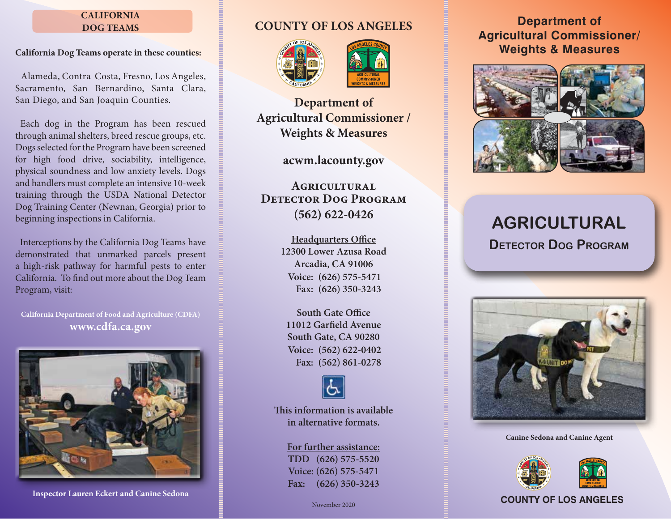## **CALIFORNIA DOG TEAMS**

## **California Dog Teams operate in these counties:**

 Alameda, Contra Costa, Fresno, Los Angeles, Sacramento, San Bernardino, Santa Clara, San Diego, and San Joaquin Counties.

 Each dog in the Program has been rescued through animal shelters, breed rescue groups, etc. Dogs selected for the Program have been screened for high food drive, sociability, intelligence, physical soundness and low anxiety levels. Dogs and handlers must complete an intensive 10-week training through the USDA National Detector Dog Training Center (Newnan, Georgia) prior to beginning inspections in California.

 Interceptions by the California Dog Teams have demonstrated that unmarked parcels present a high-risk pathway for harmful pests to enter California. To find out more about the Dog Team Program, visit:

**California Department of Food and Agriculture (CDFA) www.cdfa.ca.gov**



**Inspector Lauren Eckert and Canine Sedona**

# **COUNTY OF LOS ANGELES**





**Department of Agricultural Commissioner / Weights & Measures**

**acwm.lacounty.gov**

**Agricultural Detector Dog Program (562) 622-0426**

> **Headquarters Office 12300 Lower Azusa Road Arcadia, CA 91006 (626) 575-5471 Voice: (626) 350-3243 Fax:**

**South Gate Office 11012 Garfield Avenue South Gate, CA 90280 (562) 622-0402 Voice: (562) 861-0278 Fax:**



**This information is available in alternative formats.**

**For further assistance: TDD (626) 575-5520 Voice: (626) 575-5471 Fax: (626) 350-3243**

# **Department of Agricultural Commissioner/ Weights & Measures**



# **AGRICULTURAL Detector Dog Program**



**Canine Sedona and Canine Agent**



# November 2020 **COUNTY OF LOS ANGELES**